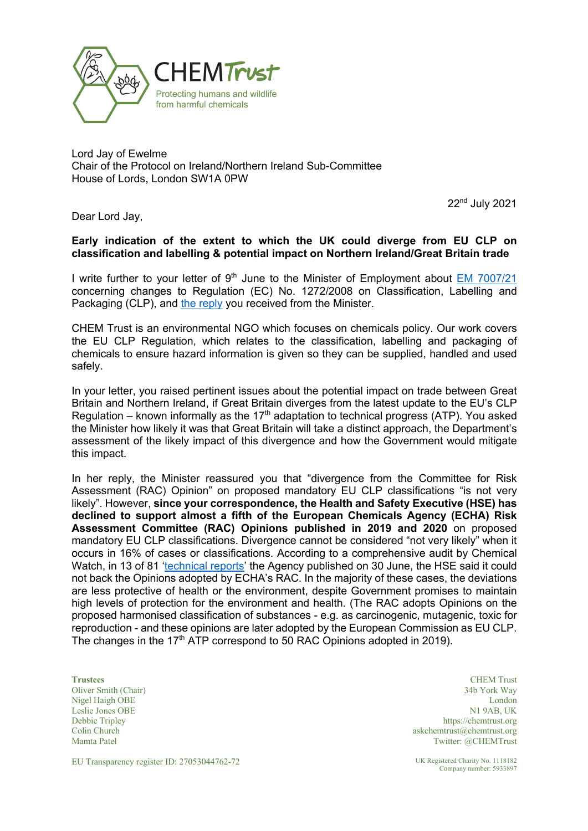

Lord Jay of Ewelme Chair of the Protocol on Ireland/Northern Ireland Sub-Committee House of Lords, London SW1A 0PW

22nd July 2021

Dear Lord Jay,

#### **Early indication of the extent to which the UK could diverge from EU CLP on classification and labelling & potential impact on Northern Ireland/Great Britain trade**

I write further to your letter of 9<sup>th</sup> June to the Minister of Employment about EM 7007/21 concerning changes to Regulation (EC) No. 1272/2008 on Classification, Labelling and Packaging (CLP), and the reply you received from the Minister.

CHEM Trust is an environmental NGO which focuses on chemicals policy. Our work covers the EU CLP Regulation, which relates to the classification, labelling and packaging of chemicals to ensure hazard information is given so they can be supplied, handled and used safely.

In your letter, you raised pertinent issues about the potential impact on trade between Great Britain and Northern Ireland, if Great Britain diverges from the latest update to the EU's CLP Regulation – known informally as the 17<sup>th</sup> adaptation to technical progress (ATP). You asked the Minister how likely it was that Great Britain will take a distinct approach, the Department's assessment of the likely impact of this divergence and how the Government would mitigate this impact.

In her reply, the Minister reassured you that "divergence from the Committee for Risk Assessment (RAC) Opinion" on proposed mandatory EU CLP classifications "is not very likely". However, **since your correspondence, the Health and Safety Executive (HSE) has declined to support almost a fifth of the European Chemicals Agency (ECHA) Risk Assessment Committee (RAC) Opinions published in 2019 and 2020** on proposed mandatory EU CLP classifications. Divergence cannot be considered "not very likely" when it occurs in 16% of cases or classifications. According to a comprehensive audit by Chemical Watch, in 13 of 81 'technical reports' the Agency published on 30 June, the HSE said it could not back the Opinions adopted by ECHA's RAC. In the majority of these cases, the deviations are less protective of health or the environment, despite Government promises to maintain high levels of protection for the environment and health. (The RAC adopts Opinions on the proposed harmonised classification of substances - e.g. as carcinogenic, mutagenic, toxic for reproduction - and these opinions are later adopted by the European Commission as EU CLP. The changes in the  $17<sup>th</sup>$  ATP correspond to 50 RAC Opinions adopted in 2019).

Leslie Jones OBE Debbie Tripley Colin Church Mamta Patel

**Trustees** CHEM Trust Oliver Smith (Chair) 34b York Way Nigel Haigh OBE London N1 9AB, UK https://chemtrust.org askchemtrust@chemtrust.org Twitter: @CHEMTrust

EU Transparency register ID: 27053044762-72 UK Registered Charity No. 1118182

Company number: 5933897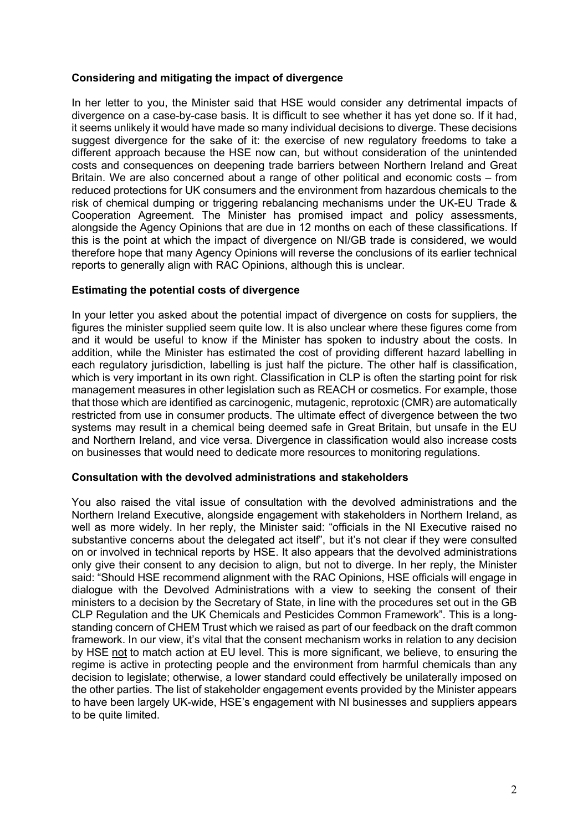## **Considering and mitigating the impact of divergence**

In her letter to you, the Minister said that HSE would consider any detrimental impacts of divergence on a case-by-case basis. It is difficult to see whether it has yet done so. If it had, it seems unlikely it would have made so many individual decisions to diverge. These decisions suggest divergence for the sake of it: the exercise of new regulatory freedoms to take a different approach because the HSE now can, but without consideration of the unintended costs and consequences on deepening trade barriers between Northern Ireland and Great Britain. We are also concerned about a range of other political and economic costs – from reduced protections for UK consumers and the environment from hazardous chemicals to the risk of chemical dumping or triggering rebalancing mechanisms under the UK-EU Trade & Cooperation Agreement. The Minister has promised impact and policy assessments, alongside the Agency Opinions that are due in 12 months on each of these classifications. If this is the point at which the impact of divergence on NI/GB trade is considered, we would therefore hope that many Agency Opinions will reverse the conclusions of its earlier technical reports to generally align with RAC Opinions, although this is unclear.

# **Estimating the potential costs of divergence**

In your letter you asked about the potential impact of divergence on costs for suppliers, the figures the minister supplied seem quite low. It is also unclear where these figures come from and it would be useful to know if the Minister has spoken to industry about the costs. In addition, while the Minister has estimated the cost of providing different hazard labelling in each regulatory jurisdiction, labelling is just half the picture. The other half is classification, which is very important in its own right. Classification in CLP is often the starting point for risk management measures in other legislation such as REACH or cosmetics. For example, those that those which are identified as carcinogenic, mutagenic, reprotoxic (CMR) are automatically restricted from use in consumer products. The ultimate effect of divergence between the two systems may result in a chemical being deemed safe in Great Britain, but unsafe in the EU and Northern Ireland, and vice versa. Divergence in classification would also increase costs on businesses that would need to dedicate more resources to monitoring regulations.

## **Consultation with the devolved administrations and stakeholders**

You also raised the vital issue of consultation with the devolved administrations and the Northern Ireland Executive, alongside engagement with stakeholders in Northern Ireland, as well as more widely. In her reply, the Minister said: "officials in the NI Executive raised no substantive concerns about the delegated act itself", but it's not clear if they were consulted on or involved in technical reports by HSE. It also appears that the devolved administrations only give their consent to any decision to align, but not to diverge. In her reply, the Minister said: "Should HSE recommend alignment with the RAC Opinions, HSE officials will engage in dialogue with the Devolved Administrations with a view to seeking the consent of their ministers to a decision by the Secretary of State, in line with the procedures set out in the GB CLP Regulation and the UK Chemicals and Pesticides Common Framework". This is a longstanding concern of CHEM Trust which we raised as part of our feedback on the draft common framework. In our view, it's vital that the consent mechanism works in relation to any decision by HSE not to match action at EU level. This is more significant, we believe, to ensuring the regime is active in protecting people and the environment from harmful chemicals than any decision to legislate; otherwise, a lower standard could effectively be unilaterally imposed on the other parties. The list of stakeholder engagement events provided by the Minister appears to have been largely UK-wide, HSE's engagement with NI businesses and suppliers appears to be quite limited.